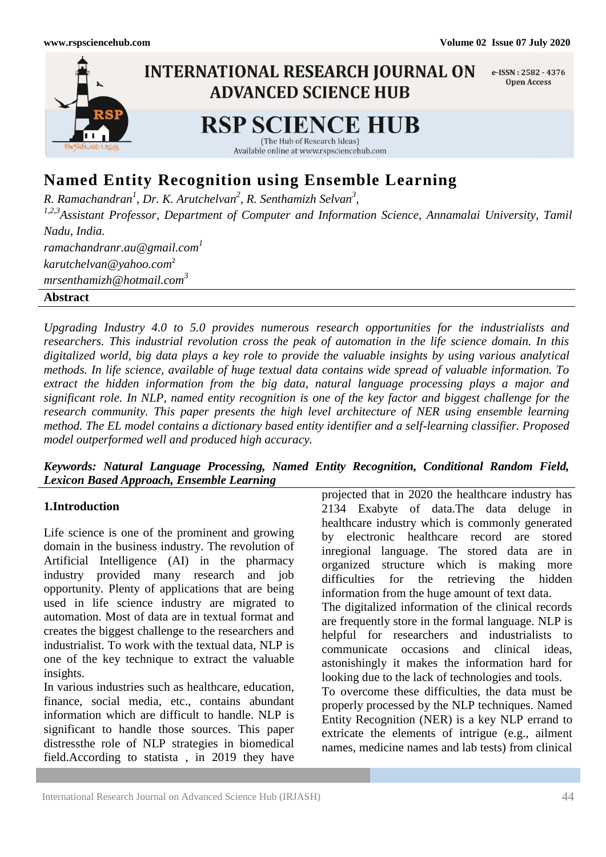

# **Named Entity Recognition using Ensemble Learning**

*R. Ramachandran<sup>1</sup> , Dr. K. Arutchelvan<sup>2</sup> , R. Senthamizh Selvan<sup>3</sup> ,*

*1,2,3Assistant Professor, Department of Computer and Information Science, Annamalai University, Tamil Nadu, India. ramachandranr.au@gmail.com<sup>1</sup> [karutchelvan@yahoo.com](mailto:karutchelvan@yahoo.com)*<sup>2</sup> *mrsenthamizh@hotmail.com<sup>3</sup>*

### **Abstract**

*Upgrading Industry 4.0 to 5.0 provides numerous research opportunities for the industrialists and researchers. This industrial revolution cross the peak of automation in the life science domain. In this digitalized world, big data plays a key role to provide the valuable insights by using various analytical methods. In life science, available of huge textual data contains wide spread of valuable information. To extract the hidden information from the big data, natural language processing plays a major and significant role. In NLP, named entity recognition is one of the key factor and biggest challenge for the research community. This paper presents the high level architecture of NER using ensemble learning method. The EL model contains a dictionary based entity identifier and a self-learning classifier. Proposed model outperformed well and produced high accuracy.*

# *Keywords: Natural Language Processing, Named Entity Recognition, Conditional Random Field, Lexicon Based Approach, Ensemble Learning*

### **1.Introduction**

Life science is one of the prominent and growing domain in the business industry. The revolution of Artificial Intelligence (AI) in the pharmacy industry provided many research and job opportunity. Plenty of applications that are being used in life science industry are migrated to automation. Most of data are in textual format and creates the biggest challenge to the researchers and industrialist. To work with the textual data, NLP is one of the key technique to extract the valuable insights.

In various industries such as healthcare, education, finance, social media, etc., contains abundant information which are difficult to handle. NLP is significant to handle those sources. This paper distressthe role of NLP strategies in biomedical field.According to statista , in 2019 they have

projected that in 2020 the healthcare industry has 2134 Exabyte of data.The data deluge in healthcare industry which is commonly generated by electronic healthcare record are stored inregional language. The stored data are in organized structure which is making more difficulties for the retrieving the hidden information from the huge amount of text data. The digitalized information of the clinical records are frequently store in the formal language. NLP is helpful for researchers and industrialists to communicate occasions and clinical ideas, astonishingly it makes the information hard for looking due to the lack of technologies and tools. To overcome these difficulties, the data must be properly processed by the NLP techniques. Named Entity Recognition (NER) is a key NLP errand to extricate the elements of intrigue (e.g., ailment

names, medicine names and lab tests) from clinical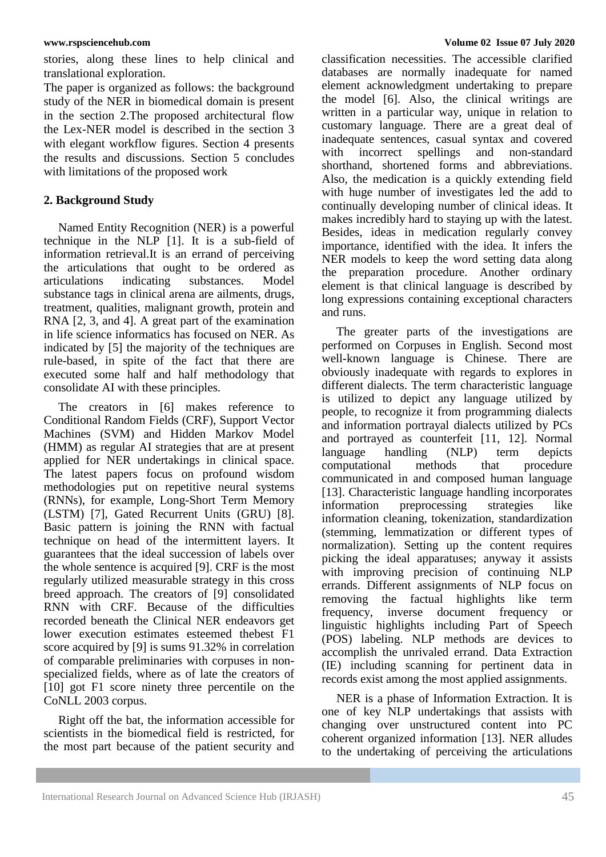stories, along these lines to help clinical and translational exploration.

The paper is organized as follows: the background study of the NER in biomedical domain is present in the section 2.The proposed architectural flow the Lex-NER model is described in the section 3 with elegant workflow figures. Section 4 presents the results and discussions. Section 5 concludes with limitations of the proposed work

## **2. Background Study**

Named Entity Recognition (NER) is a powerful technique in the NLP [1]. It is a sub-field of information retrieval.It is an errand of perceiving the articulations that ought to be ordered as articulations indicating substances. Model substance tags in clinical arena are ailments, drugs, treatment, qualities, malignant growth, protein and RNA [2, 3, and 4]. A great part of the examination in life science informatics has focused on NER. As indicated by [5] the majority of the techniques are rule-based, in spite of the fact that there are executed some half and half methodology that consolidate AI with these principles.

The creators in [6] makes reference to Conditional Random Fields (CRF), Support Vector Machines (SVM) and Hidden Markov Model (HMM) as regular AI strategies that are at present applied for NER undertakings in clinical space. The latest papers focus on profound wisdom methodologies put on repetitive neural systems (RNNs), for example, Long-Short Term Memory (LSTM) [7], Gated Recurrent Units (GRU) [8]. Basic pattern is joining the RNN with factual technique on head of the intermittent layers. It guarantees that the ideal succession of labels over the whole sentence is acquired [9]. CRF is the most regularly utilized measurable strategy in this cross breed approach. The creators of [9] consolidated RNN with CRF. Because of the difficulties recorded beneath the Clinical NER endeavors get lower execution estimates esteemed thebest F1 score acquired by [9] is sums 91.32% in correlation of comparable preliminaries with corpuses in nonspecialized fields, where as of late the creators of [10] got F1 score ninety three percentile on the CoNLL 2003 corpus.

Right off the bat, the information accessible for scientists in the biomedical field is restricted, for the most part because of the patient security and classification necessities. The accessible clarified databases are normally inadequate for named element acknowledgment undertaking to prepare the model [6]. Also, the clinical writings are written in a particular way, unique in relation to customary language. There are a great deal of inadequate sentences, casual syntax and covered with incorrect spellings and non-standard shorthand, shortened forms and abbreviations. Also, the medication is a quickly extending field with huge number of investigates led the add to continually developing number of clinical ideas. It makes incredibly hard to staying up with the latest. Besides, ideas in medication regularly convey importance, identified with the idea. It infers the NER models to keep the word setting data along the preparation procedure. Another ordinary element is that clinical language is described by long expressions containing exceptional characters and runs.

The greater parts of the investigations are performed on Corpuses in English. Second most well-known language is Chinese. There are obviously inadequate with regards to explores in different dialects. The term characteristic language is utilized to depict any language utilized by people, to recognize it from programming dialects and information portrayal dialects utilized by PCs and portrayed as counterfeit [11, 12]. Normal language handling (NLP) term depicts computational methods that procedure communicated in and composed human language [13]. Characteristic language handling incorporates information preprocessing strategies like information cleaning, tokenization, standardization (stemming, lemmatization or different types of normalization). Setting up the content requires picking the ideal apparatuses; anyway it assists with improving precision of continuing NLP errands. Different assignments of NLP focus on removing the factual highlights like term frequency, inverse document frequency or linguistic highlights including Part of Speech (POS) labeling. NLP methods are devices to accomplish the unrivaled errand. Data Extraction (IE) including scanning for pertinent data in records exist among the most applied assignments.

NER is a phase of Information Extraction. It is one of key NLP undertakings that assists with changing over unstructured content into PC coherent organized information [13]. NER alludes to the undertaking of perceiving the articulations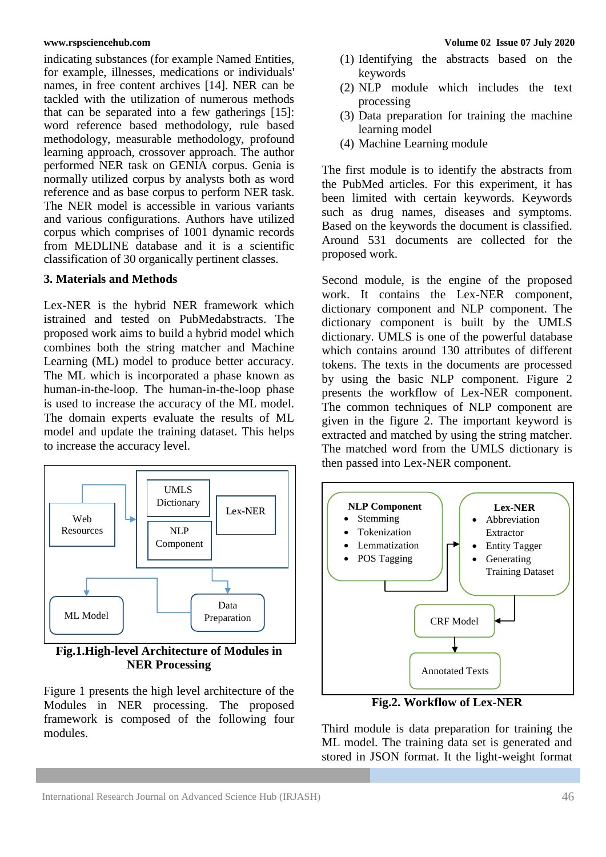indicating substances (for example Named Entities, for example, illnesses, medications or individuals' names, in free content archives [14]. NER can be tackled with the utilization of numerous methods that can be separated into a few gatherings [15]: word reference based methodology, rule based methodology, measurable methodology, profound learning approach, crossover approach. The author performed NER task on GENIA corpus. Genia is normally utilized corpus by analysts both as word reference and as base corpus to perform NER task. The NER model is accessible in various variants and various configurations. Authors have utilized corpus which comprises of 1001 dynamic records from MEDLINE database and it is a scientific classification of 30 organically pertinent classes.

# **3. Materials and Methods**

Lex-NER is the hybrid NER framework which istrained and tested on PubMedabstracts. The proposed work aims to build a hybrid model which combines both the string matcher and Machine Learning (ML) model to produce better accuracy. The ML which is incorporated a phase known as human-in-the-loop. The human-in-the-loop phase is used to increase the accuracy of the ML model. The domain experts evaluate the results of ML model and update the training dataset. This helps to increase the accuracy level.



**Fig.1.High-level Architecture of Modules in NER Processing**

Figure 1 presents the high level architecture of the Modules in NER processing. The proposed framework is composed of the following four modules.

- (1) Identifying the abstracts based on the keywords
- (2) NLP module which includes the text processing
- (3) Data preparation for training the machine learning model
- (4) Machine Learning module

The first module is to identify the abstracts from the PubMed articles. For this experiment, it has been limited with certain keywords. Keywords such as drug names, diseases and symptoms. Based on the keywords the document is classified. Around 531 documents are collected for the proposed work.

Second module, is the engine of the proposed work. It contains the Lex-NER component, dictionary component and NLP component. The dictionary component is built by the UMLS dictionary. UMLS is one of the powerful database which contains around 130 attributes of different tokens. The texts in the documents are processed by using the basic NLP component. Figure 2 presents the workflow of Lex-NER component. The common techniques of NLP component are given in the figure 2. The important keyword is extracted and matched by using the string matcher. The matched word from the UMLS dictionary is then passed into Lex-NER component.



**Fig.2. Workflow of Lex-NER**

Third module is data preparation for training the ML model. The training data set is generated and stored in JSON format. It the light-weight format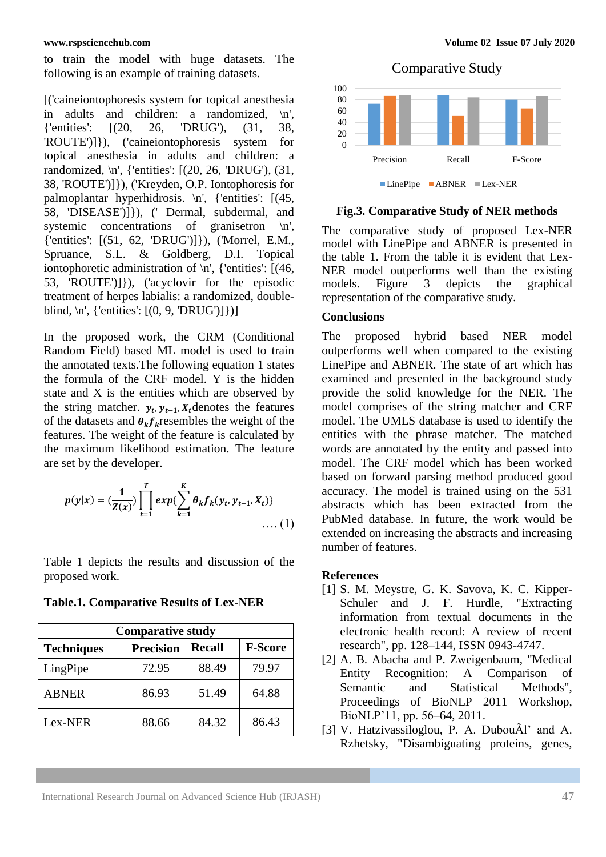to train the model with huge datasets. The following is an example of training datasets.

[('caineiontophoresis system for topical anesthesia in adults and children: a randomized, \n', {'entities': [(20, 26, 'DRUG'), (31, 38, 'ROUTE')]}), ('caineiontophoresis system for topical anesthesia in adults and children: a randomized, \n', {'entities': [(20, 26, 'DRUG'), (31, 38, 'ROUTE')]}), ('Kreyden, O.P. Iontophoresis for palmoplantar hyperhidrosis. \n', {'entities': [(45, 58, 'DISEASE')]}), (' Dermal, subdermal, and systemic concentrations of granisetron  $\n\pi$ , {'entities': [(51, 62, 'DRUG')]}), ('Morrel, E.M., Spruance, S.L. & Goldberg, D.I. Topical iontophoretic administration of \n', {'entities': [(46, 53, 'ROUTE')]}), ('acyclovir for the episodic treatment of herpes labialis: a randomized, doubleblind, \n', {'entities': [(0, 9, 'DRUG')]})]

In the proposed work, the CRM (Conditional Random Field) based ML model is used to train the annotated texts.The following equation 1 states the formula of the CRF model. Y is the hidden state and X is the entities which are observed by the string matcher.  $y_t$ ,  $y_{t-1}$ ,  $X_t$  denotes the features of the datasets and  $\theta_k f_k$  resembles the weight of the features. The weight of the feature is calculated by the maximum likelihood estimation. The feature are set by the developer.

$$
p(y|x) = (\frac{1}{Z(x)}) \prod_{t=1}^{T} exp{\sum_{k=1}^{K} \theta_k f_k(y_t, y_{t-1}, X_t)} \dots (1)
$$

Table 1 depicts the results and discussion of the proposed work.

**Table.1. Comparative Results of Lex-NER**

| <b>Comparative study</b> |                  |               |                |
|--------------------------|------------------|---------------|----------------|
| <b>Techniques</b>        | <b>Precision</b> | <b>Recall</b> | <b>F-Score</b> |
| LingPipe                 | 72.95            | 88.49         | 79.97          |
| <b>ABNER</b>             | 86.93            | 51.49         | 64.88          |
| Lex-NER                  | 88.66            | 84.32         | 86.43          |

Comparative Study



**Fig.3. Comparative Study of NER methods**

The comparative study of proposed Lex-NER model with LinePipe and ABNER is presented in the table 1. From the table it is evident that Lex-NER model outperforms well than the existing models. Figure 3 depicts the graphical representation of the comparative study.

### **Conclusions**

The proposed hybrid based NER model outperforms well when compared to the existing LinePipe and ABNER. The state of art which has examined and presented in the background study provide the solid knowledge for the NER. The model comprises of the string matcher and CRF model. The UMLS database is used to identify the entities with the phrase matcher. The matched words are annotated by the entity and passed into model. The CRF model which has been worked based on forward parsing method produced good accuracy. The model is trained using on the 531 abstracts which has been extracted from the PubMed database. In future, the work would be extended on increasing the abstracts and increasing number of features.

### **References**

- [1] S. M. Meystre, G. K. Savova, K. C. Kipper-Schuler and J. F. Hurdle, "Extracting information from textual documents in the electronic health record: A review of recent research", pp. 128–144, ISSN 0943-4747.
- [2] A. B. Abacha and P. Zweigenbaum, "Medical Entity Recognition: A Comparison of Semantic and Statistical Methods", Proceedings of BioNLP 2011 Workshop, BioNLP'11, pp. 56–64, 2011.
- [3] V. Hatzivassiloglou, P. A. DubouÃl' and A. Rzhetsky, "Disambiguating proteins, genes,